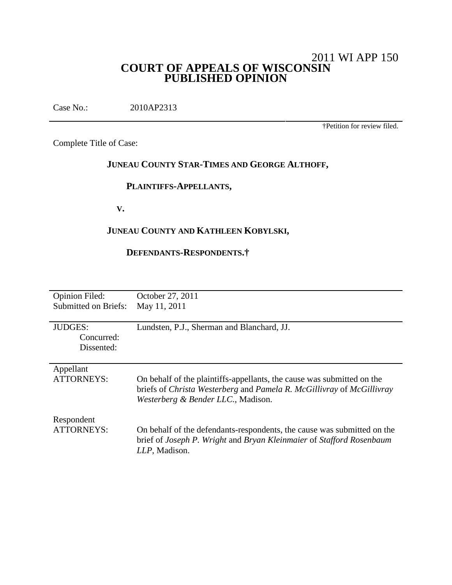# 2011 WI APP 150 **COURT OF APPEALS OF WISCONSIN PUBLISHED OPINION**

Case No.: 2010AP2313

†Petition for review filed.

Complete Title of Case:

# **JUNEAU COUNTY STAR-TIMES AND GEORGE ALTHOFF,**

# **PLAINTIFFS-APPELLANTS,**

**V.**

# **JUNEAU COUNTY AND KATHLEEN KOBYLSKI,**

# **DEFENDANTS-RESPONDENTS.†**

| <b>Opinion Filed:</b>       | October 27, 2011                                                                                                                                                                      |
|-----------------------------|---------------------------------------------------------------------------------------------------------------------------------------------------------------------------------------|
| <b>Submitted on Briefs:</b> | May 11, 2011                                                                                                                                                                          |
|                             |                                                                                                                                                                                       |
| <b>JUDGES:</b>              | Lundsten, P.J., Sherman and Blanchard, JJ.                                                                                                                                            |
| Concurred:                  |                                                                                                                                                                                       |
| Dissented:                  |                                                                                                                                                                                       |
|                             |                                                                                                                                                                                       |
| Appellant                   |                                                                                                                                                                                       |
| <b>ATTORNEYS:</b>           | On behalf of the plaintiffs-appellants, the cause was submitted on the<br>briefs of Christa Westerberg and Pamela R. McGillivray of McGillivray<br>Westerberg & Bender LLC., Madison. |
| Respondent                  |                                                                                                                                                                                       |
| <b>ATTORNEYS:</b>           | On behalf of the defendants-respondents, the cause was submitted on the<br>brief of Joseph P. Wright and Bryan Kleinmaier of Stafford Rosenbaum<br>LLP, Madison.                      |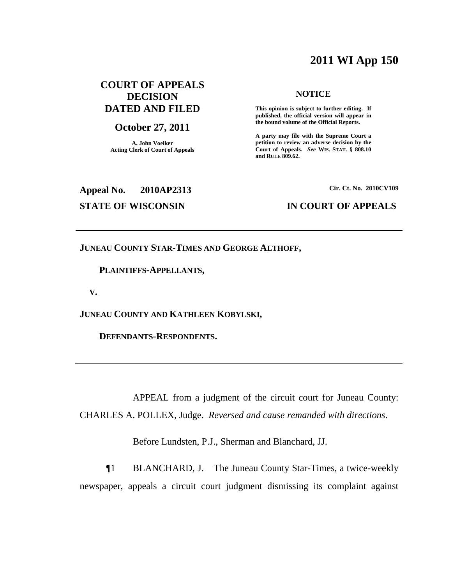# **2011 WI App 150**

# **COURT OF APPEALS DECISION DATED AND FILED**

#### **October 27, 2011**

**A. John Voelker Acting Clerk of Court of Appeals**

#### **NOTICE**

**This opinion is subject to further editing. If published, the official version will appear in the bound volume of the Official Reports.**

**A party may file with the Supreme Court a petition to review an adverse decision by the Court of Appeals.** *See* **WIS. STAT. § 808.10 and RULE 809.62.**

# **Appeal No. 2010AP2313**

#### **Cir. Ct. No. 2010CV109**

### **STATE OF WISCONSIN IN COURT OF APPEALS**

**JUNEAU COUNTY STAR-TIMES AND GEORGE ALTHOFF,**

#### **PLAINTIFFS-APPELLANTS,**

**V.**

**JUNEAU COUNTY AND KATHLEEN KOBYLSKI,**

**DEFENDANTS-RESPONDENTS.**

APPEAL from a judgment of the circuit court for Juneau County: CHARLES A. POLLEX, Judge. *Reversed and cause remanded with directions*.

Before Lundsten, P.J., Sherman and Blanchard, JJ.

¶1 BLANCHARD, J. The Juneau County Star-Times, a twice-weekly newspaper, appeals a circuit court judgment dismissing its complaint against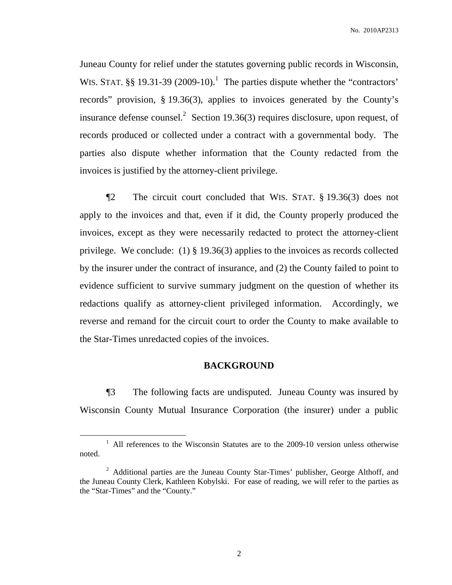Juneau County for relief under the statutes governing public records in Wisconsin, WIS. STAT.  $\S\S 19.31-39$  (2009-10).<sup>1</sup> The parties dispute whether the "contractors" records" provision, § 19.36(3), applies to invoices generated by the County's insurance defense counsel. 2 Section 19.36(3) requires disclosure, upon request, of records produced or collected under a contract with a governmental body. The parties also dispute whether information that the County redacted from the invoices is justified by the attorney-client privilege.

¶2 The circuit court concluded that WIS. STAT. § 19.36(3) does not apply to the invoices and that, even if it did, the County properly produced the invoices, except as they were necessarily redacted to protect the attorney-client privilege. We conclude: (1) § 19.36(3) applies to the invoices as records collected by the insurer under the contract of insurance, and (2) the County failed to point to evidence sufficient to survive summary judgment on the question of whether its redactions qualify as attorney-client privileged information. Accordingly, we reverse and remand for the circuit court to order the County to make available to the Star-Times unredacted copies of the invoices.

### **BACKGROUND**

¶3 The following facts are undisputed. Juneau County was insured by Wisconsin County Mutual Insurance Corporation (the insurer) under a public

<sup>&</sup>lt;sup>1</sup> All references to the Wisconsin Statutes are to the 2009-10 version unless otherwise noted.

<sup>&</sup>lt;sup>2</sup> Additional parties are the Juneau County Star-Times' publisher, George Althoff, and the Juneau County Clerk, Kathleen Kobylski. For ease of reading, we will refer to the parties as the "Star-Times" and the "County."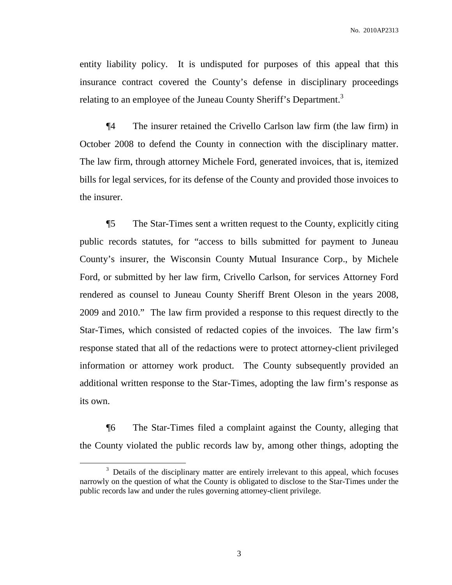entity liability policy. It is undisputed for purposes of this appeal that this insurance contract covered the County's defense in disciplinary proceedings relating to an employee of the Juneau County Sheriff's Department.<sup>3</sup>

¶4 The insurer retained the Crivello Carlson law firm (the law firm) in October 2008 to defend the County in connection with the disciplinary matter. The law firm, through attorney Michele Ford, generated invoices, that is, itemized bills for legal services, for its defense of the County and provided those invoices to the insurer.

¶5 The Star-Times sent a written request to the County, explicitly citing public records statutes, for "access to bills submitted for payment to Juneau County's insurer, the Wisconsin County Mutual Insurance Corp., by Michele Ford, or submitted by her law firm, Crivello Carlson, for services Attorney Ford rendered as counsel to Juneau County Sheriff Brent Oleson in the years 2008, 2009 and 2010." The law firm provided a response to this request directly to the Star-Times, which consisted of redacted copies of the invoices. The law firm's response stated that all of the redactions were to protect attorney-client privileged information or attorney work product. The County subsequently provided an additional written response to the Star-Times, adopting the law firm's response as its own.

¶6 The Star-Times filed a complaint against the County, alleging that the County violated the public records law by, among other things, adopting the

<sup>&</sup>lt;sup>3</sup> Details of the disciplinary matter are entirely irrelevant to this appeal, which focuses narrowly on the question of what the County is obligated to disclose to the Star-Times under the public records law and under the rules governing attorney-client privilege.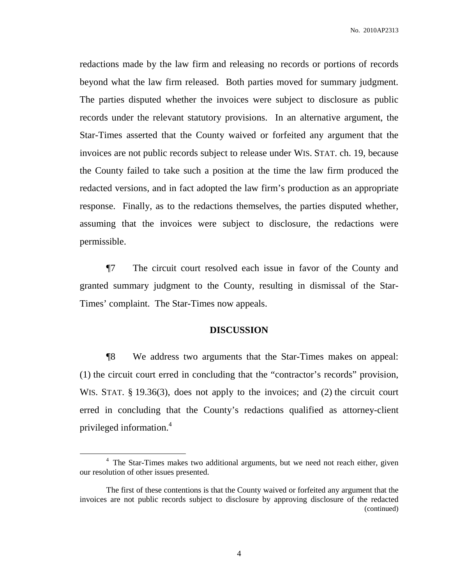redactions made by the law firm and releasing no records or portions of records beyond what the law firm released. Both parties moved for summary judgment. The parties disputed whether the invoices were subject to disclosure as public records under the relevant statutory provisions. In an alternative argument, the Star-Times asserted that the County waived or forfeited any argument that the invoices are not public records subject to release under WIS. STAT. ch. 19, because the County failed to take such a position at the time the law firm produced the redacted versions, and in fact adopted the law firm's production as an appropriate response. Finally, as to the redactions themselves, the parties disputed whether, assuming that the invoices were subject to disclosure, the redactions were permissible.

¶7 The circuit court resolved each issue in favor of the County and granted summary judgment to the County, resulting in dismissal of the Star-Times' complaint. The Star-Times now appeals.

#### **DISCUSSION**

¶8 We address two arguments that the Star-Times makes on appeal: (1) the circuit court erred in concluding that the "contractor's records" provision, WIS. STAT. § 19.36(3), does not apply to the invoices; and (2) the circuit court erred in concluding that the County's redactions qualified as attorney-client privileged information. 4

<sup>&</sup>lt;sup>4</sup> The Star-Times makes two additional arguments, but we need not reach either, given our resolution of other issues presented.

The first of these contentions is that the County waived or forfeited any argument that the invoices are not public records subject to disclosure by approving disclosure of the redacted (continued)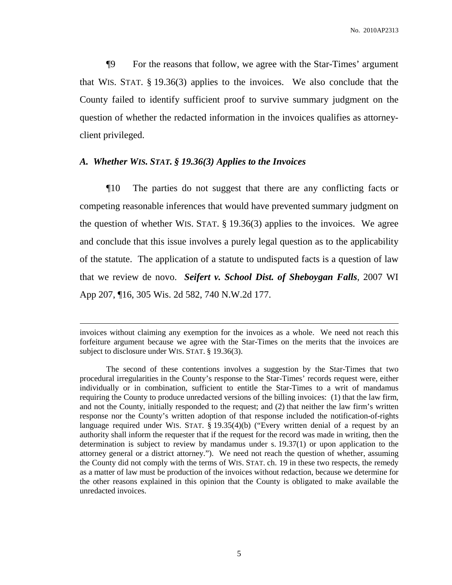¶9 For the reasons that follow, we agree with the Star-Times' argument that WIS. STAT. § 19.36(3) applies to the invoices. We also conclude that the County failed to identify sufficient proof to survive summary judgment on the question of whether the redacted information in the invoices qualifies as attorneyclient privileged.

### *A. Whether WIS. STAT. § 19.36(3) Applies to the Invoices*

¶10 The parties do not suggest that there are any conflicting facts or competing reasonable inferences that would have prevented summary judgment on the question of whether WIS. STAT. § 19.36(3) applies to the invoices. We agree and conclude that this issue involves a purely legal question as to the applicability of the statute. The application of a statute to undisputed facts is a question of law that we review de novo. *Seifert v. School Dist. of Sheboygan Falls*, 2007 WI App 207, ¶16, 305 Wis. 2d 582, 740 N.W.2d 177.

invoices without claiming any exemption for the invoices as a whole. We need not reach this forfeiture argument because we agree with the Star-Times on the merits that the invoices are subject to disclosure under WIS. STAT. § 19.36(3).

The second of these contentions involves a suggestion by the Star-Times that two procedural irregularities in the County's response to the Star-Times' records request were, either individually or in combination, sufficient to entitle the Star-Times to a writ of mandamus requiring the County to produce unredacted versions of the billing invoices: (1) that the law firm, and not the County, initially responded to the request; and (2) that neither the law firm's written response nor the County's written adoption of that response included the notification-of-rights language required under WIS. STAT.  $\S$  19.35(4)(b) ("Every written denial of a request by an authority shall inform the requester that if the request for the record was made in writing, then the determination is subject to review by mandamus under s. 19.37(1) or upon application to the attorney general or a district attorney."). We need not reach the question of whether, assuming the County did not comply with the terms of WIS. STAT. ch. 19 in these two respects, the remedy as a matter of law must be production of the invoices without redaction, because we determine for the other reasons explained in this opinion that the County is obligated to make available the unredacted invoices.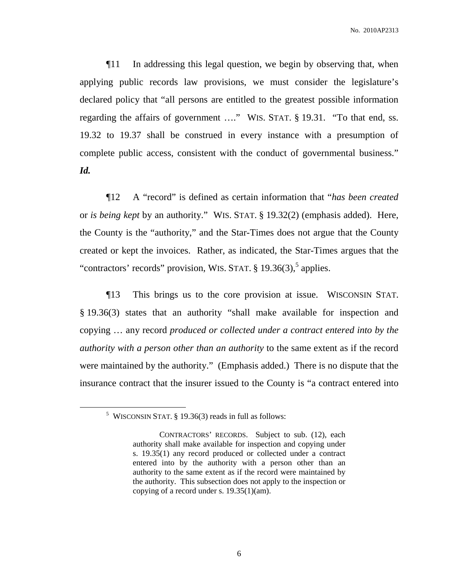¶11 In addressing this legal question, we begin by observing that, when applying public records law provisions, we must consider the legislature's declared policy that "all persons are entitled to the greatest possible information regarding the affairs of government …." WIS. STAT. § 19.31. "To that end, ss. 19.32 to 19.37 shall be construed in every instance with a presumption of complete public access, consistent with the conduct of governmental business." *Id.*

¶12 A "record" is defined as certain information that "*has been created* or *is being kept* by an authority." WIS. STAT. § 19.32(2) (emphasis added). Here, the County is the "authority," and the Star-Times does not argue that the County created or kept the invoices. Rather, as indicated, the Star-Times argues that the "contractors' records" provision, WIS. STAT.  $\S 19.36(3)$ , applies.

¶13 This brings us to the core provision at issue. WISCONSIN STAT. § 19.36(3) states that an authority "shall make available for inspection and copying … any record *produced or collected under a contract entered into by the authority with a person other than an authority* to the same extent as if the record were maintained by the authority." (Emphasis added.) There is no dispute that the insurance contract that the insurer issued to the County is "a contract entered into

<sup>&</sup>lt;sup>5</sup> WISCONSIN STAT.  $\S$  19.36(3) reads in full as follows:

CONTRACTORS' RECORDS. Subject to sub. (12), each authority shall make available for inspection and copying under s. 19.35(1) any record produced or collected under a contract entered into by the authority with a person other than an authority to the same extent as if the record were maintained by the authority. This subsection does not apply to the inspection or copying of a record under s. 19.35(1)(am).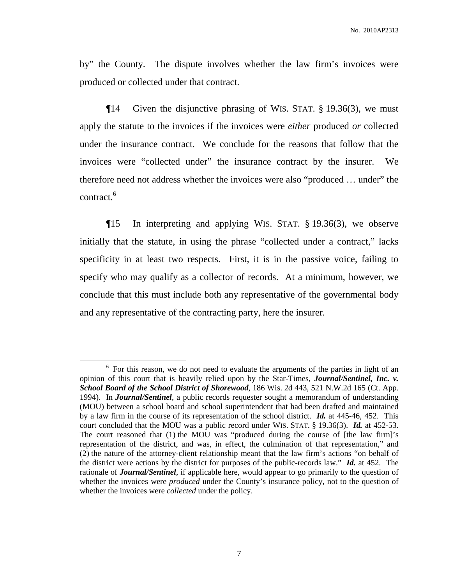by" the County. The dispute involves whether the law firm's invoices were produced or collected under that contract.

¶14 Given the disjunctive phrasing of WIS. STAT. § 19.36(3), we must apply the statute to the invoices if the invoices were *either* produced *or* collected under the insurance contract. We conclude for the reasons that follow that the invoices were "collected under" the insurance contract by the insurer. We therefore need not address whether the invoices were also "produced … under" the contract. 6

¶15 In interpreting and applying WIS. STAT. § 19.36(3), we observe initially that the statute, in using the phrase "collected under a contract," lacks specificity in at least two respects. First, it is in the passive voice, failing to specify who may qualify as a collector of records. At a minimum, however, we conclude that this must include both any representative of the governmental body and any representative of the contracting party, here the insurer.

<sup>&</sup>lt;sup>6</sup> For this reason, we do not need to evaluate the arguments of the parties in light of an opinion of this court that is heavily relied upon by the Star-Times, *Journal/Sentinel, Inc. v. School Board of the School District of Shorewood*, 186 Wis. 2d 443, 521 N.W.2d 165 (Ct. App. 1994). In *Journal/Sentinel*, a public records requester sought a memorandum of understanding (MOU) between a school board and school superintendent that had been drafted and maintained by a law firm in the course of its representation of the school district. *Id.* at 445-46, 452. This court concluded that the MOU was a public record under WIS. STAT. § 19.36(3). *Id.* at 452-53. The court reasoned that (1) the MOU was "produced during the course of [the law firm]'s representation of the district, and was, in effect, the culmination of that representation," and (2) the nature of the attorney-client relationship meant that the law firm's actions "on behalf of the district were actions by the district for purposes of the public-records law." *Id.* at 452. The rationale of *Journal/Sentinel*, if applicable here, would appear to go primarily to the question of whether the invoices were *produced* under the County's insurance policy, not to the question of whether the invoices were *collected* under the policy.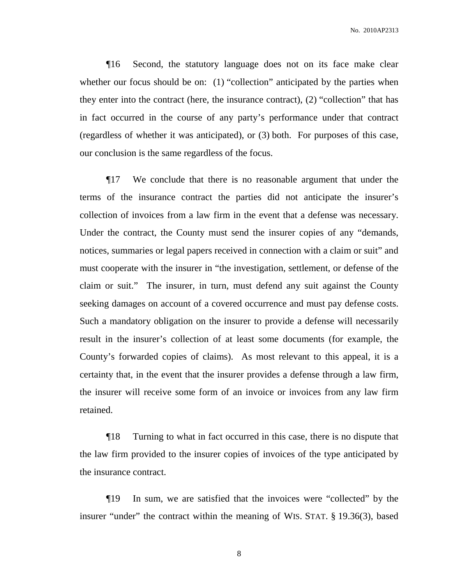¶16 Second, the statutory language does not on its face make clear whether our focus should be on: (1) "collection" anticipated by the parties when they enter into the contract (here, the insurance contract), (2) "collection" that has in fact occurred in the course of any party's performance under that contract (regardless of whether it was anticipated), or (3) both. For purposes of this case, our conclusion is the same regardless of the focus.

¶17 We conclude that there is no reasonable argument that under the terms of the insurance contract the parties did not anticipate the insurer's collection of invoices from a law firm in the event that a defense was necessary. Under the contract, the County must send the insurer copies of any "demands, notices, summaries or legal papers received in connection with a claim or suit" and must cooperate with the insurer in "the investigation, settlement, or defense of the claim or suit." The insurer, in turn, must defend any suit against the County seeking damages on account of a covered occurrence and must pay defense costs. Such a mandatory obligation on the insurer to provide a defense will necessarily result in the insurer's collection of at least some documents (for example, the County's forwarded copies of claims). As most relevant to this appeal, it is a certainty that, in the event that the insurer provides a defense through a law firm, the insurer will receive some form of an invoice or invoices from any law firm retained.

¶18 Turning to what in fact occurred in this case, there is no dispute that the law firm provided to the insurer copies of invoices of the type anticipated by the insurance contract.

¶19 In sum, we are satisfied that the invoices were "collected" by the insurer "under" the contract within the meaning of WIS. STAT. § 19.36(3), based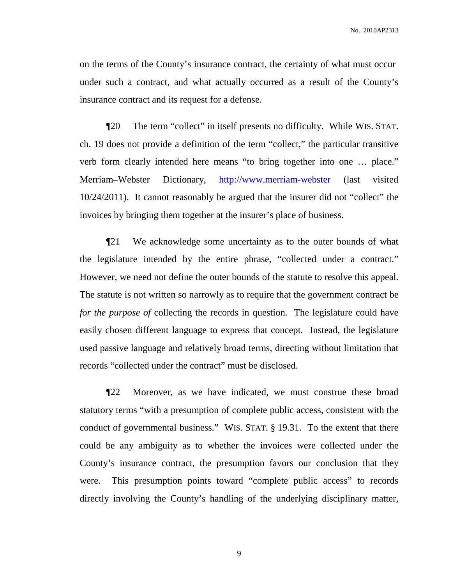on the terms of the County's insurance contract, the certainty of what must occur under such a contract, and what actually occurred as a result of the County's insurance contract and its request for a defense.

¶20 The term "collect" in itself presents no difficulty. While WIS. STAT. ch. 19 does not provide a definition of the term "collect," the particular transitive verb form clearly intended here means "to bring together into one … place." Merriam–Webster Dictionary, [http://www.merriam-webster](http://www.merriam-webster/) (last visited 10/24/2011). It cannot reasonably be argued that the insurer did not "collect" the invoices by bringing them together at the insurer's place of business.

¶21 We acknowledge some uncertainty as to the outer bounds of what the legislature intended by the entire phrase, "collected under a contract." However, we need not define the outer bounds of the statute to resolve this appeal. The statute is not written so narrowly as to require that the government contract be *for the purpose of* collecting the records in question. The legislature could have easily chosen different language to express that concept. Instead, the legislature used passive language and relatively broad terms, directing without limitation that records "collected under the contract" must be disclosed.

¶22 Moreover, as we have indicated, we must construe these broad statutory terms "with a presumption of complete public access, consistent with the conduct of governmental business." WIS. STAT. § 19.31. To the extent that there could be any ambiguity as to whether the invoices were collected under the County's insurance contract, the presumption favors our conclusion that they were. This presumption points toward "complete public access" to records directly involving the County's handling of the underlying disciplinary matter,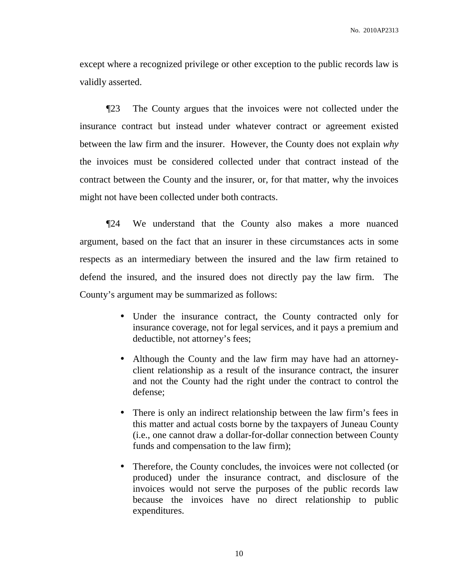except where a recognized privilege or other exception to the public records law is validly asserted.

¶23 The County argues that the invoices were not collected under the insurance contract but instead under whatever contract or agreement existed between the law firm and the insurer. However, the County does not explain *why* the invoices must be considered collected under that contract instead of the contract between the County and the insurer, or, for that matter, why the invoices might not have been collected under both contracts.

¶24 We understand that the County also makes a more nuanced argument, based on the fact that an insurer in these circumstances acts in some respects as an intermediary between the insured and the law firm retained to defend the insured, and the insured does not directly pay the law firm. The County's argument may be summarized as follows:

- Under the insurance contract, the County contracted only for insurance coverage, not for legal services, and it pays a premium and deductible, not attorney's fees;
- Although the County and the law firm may have had an attorneyclient relationship as a result of the insurance contract, the insurer and not the County had the right under the contract to control the defense;
- There is only an indirect relationship between the law firm's fees in this matter and actual costs borne by the taxpayers of Juneau County (i.e., one cannot draw a dollar-for-dollar connection between County funds and compensation to the law firm);
- Therefore, the County concludes, the invoices were not collected (or produced) under the insurance contract, and disclosure of the invoices would not serve the purposes of the public records law because the invoices have no direct relationship to public expenditures.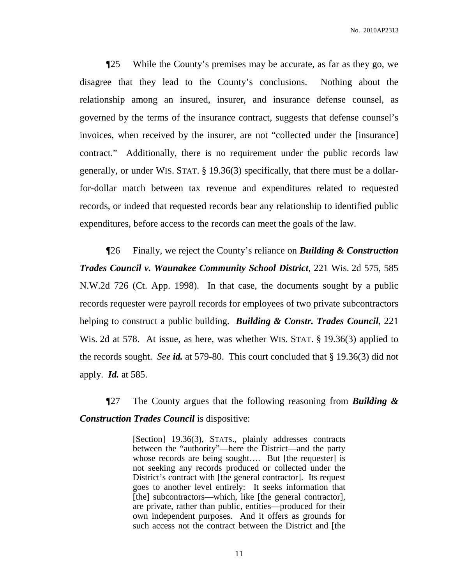¶25 While the County's premises may be accurate, as far as they go, we disagree that they lead to the County's conclusions. Nothing about the relationship among an insured, insurer, and insurance defense counsel, as governed by the terms of the insurance contract, suggests that defense counsel's invoices, when received by the insurer, are not "collected under the [insurance] contract." Additionally, there is no requirement under the public records law generally, or under WIS. STAT. § 19.36(3) specifically, that there must be a dollarfor-dollar match between tax revenue and expenditures related to requested records, or indeed that requested records bear any relationship to identified public expenditures, before access to the records can meet the goals of the law.

¶26 Finally, we reject the County's reliance on *Building & Construction Trades Council v. Waunakee Community School District*, 221 Wis. 2d 575, 585 N.W.2d 726 (Ct. App. 1998). In that case, the documents sought by a public records requester were payroll records for employees of two private subcontractors helping to construct a public building. *Building & Constr. Trades Council*, 221 Wis. 2d at 578. At issue, as here, was whether WIS. STAT. § 19.36(3) applied to the records sought. *See id.* at 579-80. This court concluded that § 19.36(3) did not apply. *Id.* at 585.

¶27 The County argues that the following reasoning from *Building & Construction Trades Council* is dispositive:

> [Section] 19.36(3), STATS., plainly addresses contracts between the "authority"—here the District—and the party whose records are being sought.... But [the requester] is not seeking any records produced or collected under the District's contract with [the general contractor]. Its request goes to another level entirely: It seeks information that [the] subcontractors—which, like [the general contractor], are private, rather than public, entities—produced for their own independent purposes. And it offers as grounds for such access not the contract between the District and [the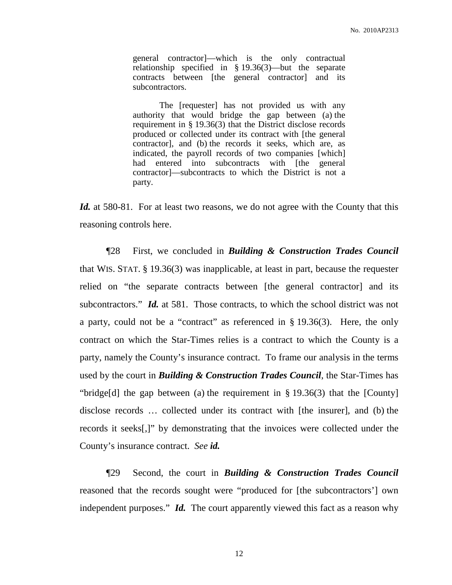general contractor]—which is the only contractual relationship specified in § 19.36(3)—but the separate contracts between [the general contractor] and its subcontractors.

The [requester] has not provided us with any authority that would bridge the gap between (a) the requirement in § 19.36(3) that the District disclose records produced or collected under its contract with [the general contractor], and (b) the records it seeks, which are, as indicated, the payroll records of two companies [which] had entered into subcontracts with [the general contractor]—subcontracts to which the District is not a party.

*Id.* at 580-81. For at least two reasons, we do not agree with the County that this reasoning controls here.

¶28 First, we concluded in *Building & Construction Trades Council* that WIS. STAT. § 19.36(3) was inapplicable, at least in part, because the requester relied on "the separate contracts between [the general contractor] and its subcontractors." *Id.* at 581. Those contracts, to which the school district was not a party, could not be a "contract" as referenced in  $\S$  19.36(3). Here, the only contract on which the Star-Times relies is a contract to which the County is a party, namely the County's insurance contract. To frame our analysis in the terms used by the court in *Building & Construction Trades Council*, the Star-Times has "bridge[d] the gap between (a) the requirement in  $\S 19.36(3)$  that the [County] disclose records … collected under its contract with [the insurer], and (b) the records it seeks[,]" by demonstrating that the invoices were collected under the County's insurance contract. *See id.*

¶29 Second, the court in *Building & Construction Trades Council* reasoned that the records sought were "produced for [the subcontractors'] own independent purposes." *Id.* The court apparently viewed this fact as a reason why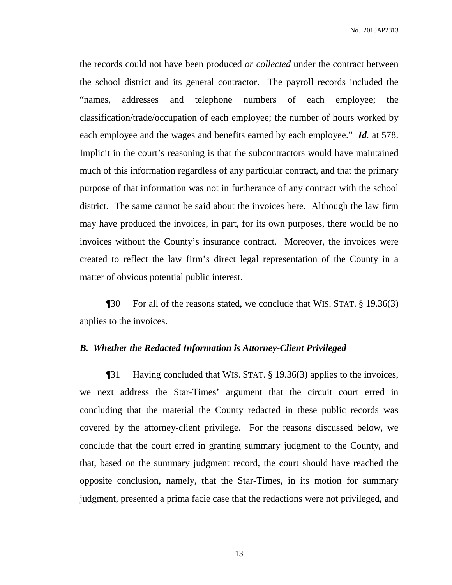the records could not have been produced *or collected* under the contract between the school district and its general contractor. The payroll records included the "names, addresses and telephone numbers of each employee; the classification/trade/occupation of each employee; the number of hours worked by each employee and the wages and benefits earned by each employee." *Id.* at 578. Implicit in the court's reasoning is that the subcontractors would have maintained much of this information regardless of any particular contract, and that the primary purpose of that information was not in furtherance of any contract with the school district. The same cannot be said about the invoices here. Although the law firm may have produced the invoices, in part, for its own purposes, there would be no invoices without the County's insurance contract. Moreover, the invoices were created to reflect the law firm's direct legal representation of the County in a matter of obvious potential public interest.

¶30 For all of the reasons stated, we conclude that WIS. STAT. § 19.36(3) applies to the invoices.

#### *B. Whether the Redacted Information is Attorney-Client Privileged*

¶31 Having concluded that WIS. STAT. § 19.36(3) applies to the invoices, we next address the Star-Times' argument that the circuit court erred in concluding that the material the County redacted in these public records was covered by the attorney-client privilege. For the reasons discussed below, we conclude that the court erred in granting summary judgment to the County, and that, based on the summary judgment record, the court should have reached the opposite conclusion, namely, that the Star-Times, in its motion for summary judgment, presented a prima facie case that the redactions were not privileged, and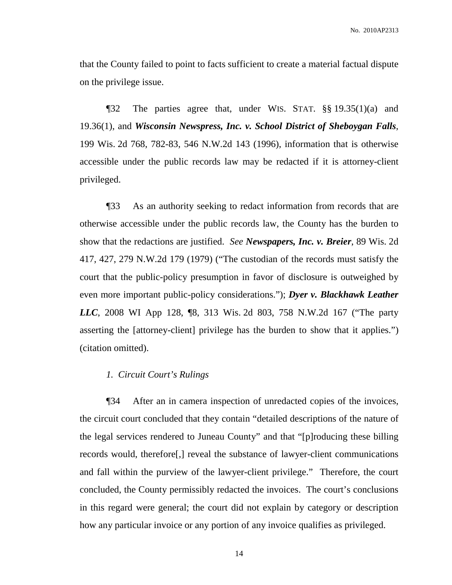that the County failed to point to facts sufficient to create a material factual dispute on the privilege issue.

¶32 The parties agree that, under WIS. STAT. §§ 19.35(1)(a) and 19.36(1), and *Wisconsin Newspress, Inc. v. School District of Sheboygan Falls*, 199 Wis. 2d 768, 782-83, 546 N.W.2d 143 (1996), information that is otherwise accessible under the public records law may be redacted if it is attorney-client privileged.

¶33 As an authority seeking to redact information from records that are otherwise accessible under the public records law, the County has the burden to show that the redactions are justified. *See Newspapers, Inc. v. Breier*, 89 Wis. 2d 417, 427, 279 N.W.2d 179 (1979) ("The custodian of the records must satisfy the court that the public-policy presumption in favor of disclosure is outweighed by even more important public-policy considerations."); *Dyer v. Blackhawk Leather LLC*, 2008 WI App 128, ¶8, 313 Wis. 2d 803, 758 N.W.2d 167 ("The party asserting the [attorney-client] privilege has the burden to show that it applies.") (citation omitted).

### *1. Circuit Court's Rulings*

¶34 After an in camera inspection of unredacted copies of the invoices, the circuit court concluded that they contain "detailed descriptions of the nature of the legal services rendered to Juneau County" and that "[p]roducing these billing records would, therefore[,] reveal the substance of lawyer-client communications and fall within the purview of the lawyer-client privilege." Therefore, the court concluded, the County permissibly redacted the invoices. The court's conclusions in this regard were general; the court did not explain by category or description how any particular invoice or any portion of any invoice qualifies as privileged.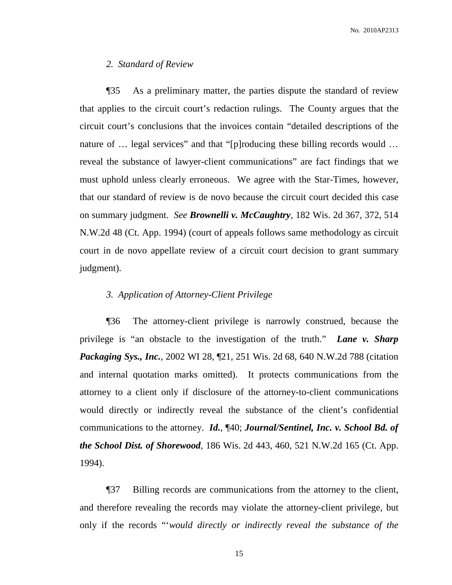#### *2. Standard of Review*

¶35 As a preliminary matter, the parties dispute the standard of review that applies to the circuit court's redaction rulings. The County argues that the circuit court's conclusions that the invoices contain "detailed descriptions of the nature of ... legal services" and that "[p]roducing these billing records would ... reveal the substance of lawyer-client communications" are fact findings that we must uphold unless clearly erroneous. We agree with the Star-Times, however, that our standard of review is de novo because the circuit court decided this case on summary judgment. *See Brownelli v. McCaughtry*, 182 Wis. 2d 367, 372, 514 N.W.2d 48 (Ct. App. 1994) (court of appeals follows same methodology as circuit court in de novo appellate review of a circuit court decision to grant summary judgment).

#### *3. Application of Attorney-Client Privilege*

¶36 The attorney-client privilege is narrowly construed, because the privilege is "an obstacle to the investigation of the truth." *Lane v. Sharp Packaging Sys., Inc.*, 2002 WI 28, ¶21, 251 Wis. 2d 68, 640 N.W.2d 788 (citation and internal quotation marks omitted). It protects communications from the attorney to a client only if disclosure of the attorney-to-client communications would directly or indirectly reveal the substance of the client's confidential communications to the attorney. *Id.*, ¶40; *Journal/Sentinel, Inc. v. School Bd. of the School Dist. of Shorewood*, 186 Wis. 2d 443, 460, 521 N.W.2d 165 (Ct. App. 1994).

¶37 Billing records are communications from the attorney to the client, and therefore revealing the records may violate the attorney-client privilege, but only if the records "'*would directly or indirectly reveal the substance of the*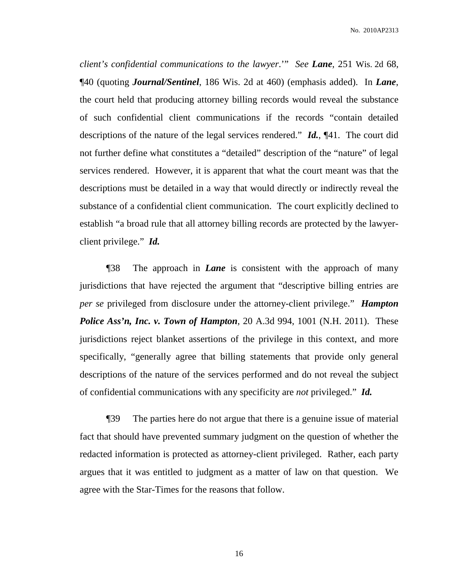*client's confidential communications to the lawyer*.'" *See Lane*, 251 Wis. 2d 68, ¶40 (quoting *Journal/Sentinel*, 186 Wis. 2d at 460) (emphasis added). In *Lane*, the court held that producing attorney billing records would reveal the substance of such confidential client communications if the records "contain detailed descriptions of the nature of the legal services rendered." *Id.*, ¶41. The court did not further define what constitutes a "detailed" description of the "nature" of legal services rendered. However, it is apparent that what the court meant was that the descriptions must be detailed in a way that would directly or indirectly reveal the substance of a confidential client communication. The court explicitly declined to establish "a broad rule that all attorney billing records are protected by the lawyerclient privilege." *Id.*

¶38 The approach in *Lane* is consistent with the approach of many jurisdictions that have rejected the argument that "descriptive billing entries are *per se* privileged from disclosure under the attorney-client privilege." *Hampton Police Ass'n, Inc. v. Town of Hampton*, 20 A.3d 994, 1001 (N.H. 2011). These jurisdictions reject blanket assertions of the privilege in this context, and more specifically, "generally agree that billing statements that provide only general descriptions of the nature of the services performed and do not reveal the subject of confidential communications with any specificity are *not* privileged." *Id.*

¶39 The parties here do not argue that there is a genuine issue of material fact that should have prevented summary judgment on the question of whether the redacted information is protected as attorney-client privileged. Rather, each party argues that it was entitled to judgment as a matter of law on that question. We agree with the Star-Times for the reasons that follow.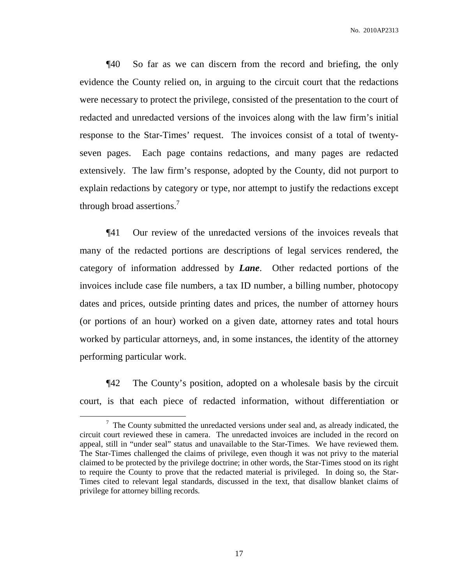¶40 So far as we can discern from the record and briefing, the only evidence the County relied on, in arguing to the circuit court that the redactions were necessary to protect the privilege, consisted of the presentation to the court of redacted and unredacted versions of the invoices along with the law firm's initial response to the Star-Times' request. The invoices consist of a total of twentyseven pages. Each page contains redactions, and many pages are redacted extensively. The law firm's response, adopted by the County, did not purport to explain redactions by category or type, nor attempt to justify the redactions except through broad assertions.<sup>7</sup>

¶41 Our review of the unredacted versions of the invoices reveals that many of the redacted portions are descriptions of legal services rendered, the category of information addressed by *Lane*. Other redacted portions of the invoices include case file numbers, a tax ID number, a billing number, photocopy dates and prices, outside printing dates and prices, the number of attorney hours (or portions of an hour) worked on a given date, attorney rates and total hours worked by particular attorneys, and, in some instances, the identity of the attorney performing particular work.

¶42 The County's position, adopted on a wholesale basis by the circuit court, is that each piece of redacted information, without differentiation or

 $7$  The County submitted the unredacted versions under seal and, as already indicated, the circuit court reviewed these in camera. The unredacted invoices are included in the record on appeal, still in "under seal" status and unavailable to the Star-Times. We have reviewed them. The Star-Times challenged the claims of privilege, even though it was not privy to the material claimed to be protected by the privilege doctrine; in other words, the Star-Times stood on its right to require the County to prove that the redacted material is privileged. In doing so, the Star-Times cited to relevant legal standards, discussed in the text, that disallow blanket claims of privilege for attorney billing records.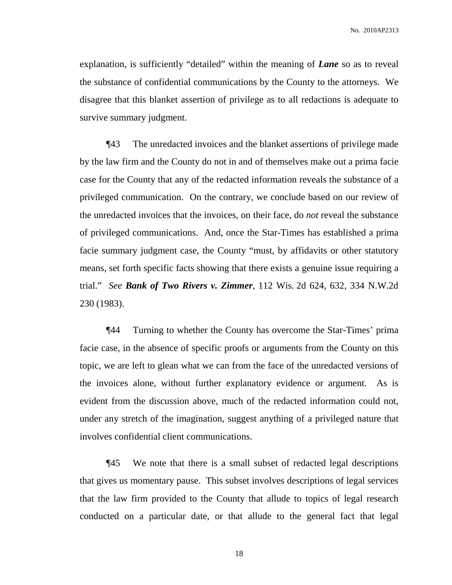explanation, is sufficiently "detailed" within the meaning of *Lane* so as to reveal the substance of confidential communications by the County to the attorneys. We disagree that this blanket assertion of privilege as to all redactions is adequate to survive summary judgment.

¶43 The unredacted invoices and the blanket assertions of privilege made by the law firm and the County do not in and of themselves make out a prima facie case for the County that any of the redacted information reveals the substance of a privileged communication. On the contrary, we conclude based on our review of the unredacted invoices that the invoices, on their face, do *not* reveal the substance of privileged communications. And, once the Star-Times has established a prima facie summary judgment case, the County "must, by affidavits or other statutory means, set forth specific facts showing that there exists a genuine issue requiring a trial." *See Bank of Two Rivers v. Zimmer*, 112 Wis. 2d 624, 632, 334 N.W.2d 230 (1983).

¶44 Turning to whether the County has overcome the Star-Times' prima facie case, in the absence of specific proofs or arguments from the County on this topic, we are left to glean what we can from the face of the unredacted versions of the invoices alone, without further explanatory evidence or argument. As is evident from the discussion above, much of the redacted information could not, under any stretch of the imagination, suggest anything of a privileged nature that involves confidential client communications.

¶45 We note that there is a small subset of redacted legal descriptions that gives us momentary pause. This subset involves descriptions of legal services that the law firm provided to the County that allude to topics of legal research conducted on a particular date, or that allude to the general fact that legal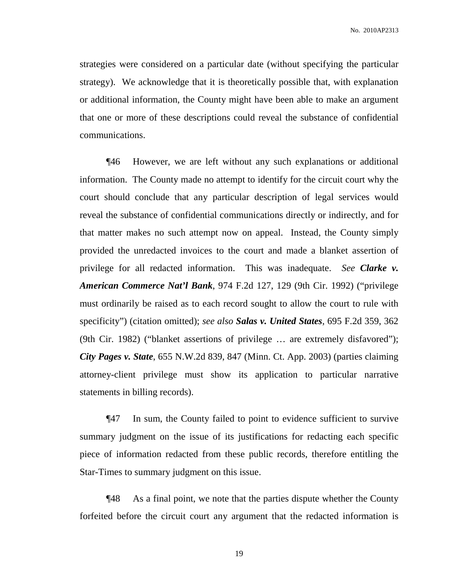strategies were considered on a particular date (without specifying the particular strategy). We acknowledge that it is theoretically possible that, with explanation or additional information, the County might have been able to make an argument that one or more of these descriptions could reveal the substance of confidential communications.

¶46 However, we are left without any such explanations or additional information. The County made no attempt to identify for the circuit court why the court should conclude that any particular description of legal services would reveal the substance of confidential communications directly or indirectly, and for that matter makes no such attempt now on appeal. Instead, the County simply provided the unredacted invoices to the court and made a blanket assertion of privilege for all redacted information. This was inadequate. *See Clarke v. American Commerce Nat'l Bank*, 974 F.2d 127, 129 (9th Cir. 1992) ("privilege must ordinarily be raised as to each record sought to allow the court to rule with specificity") (citation omitted); *see also Salas v. United States*, 695 F.2d 359, 362 (9th Cir. 1982) ("blanket assertions of privilege … are extremely disfavored"); *City Pages v. State*, 655 N.W.2d 839, 847 (Minn. Ct. App. 2003) (parties claiming attorney-client privilege must show its application to particular narrative statements in billing records).

¶47 In sum, the County failed to point to evidence sufficient to survive summary judgment on the issue of its justifications for redacting each specific piece of information redacted from these public records, therefore entitling the Star-Times to summary judgment on this issue.

¶48 As a final point, we note that the parties dispute whether the County forfeited before the circuit court any argument that the redacted information is